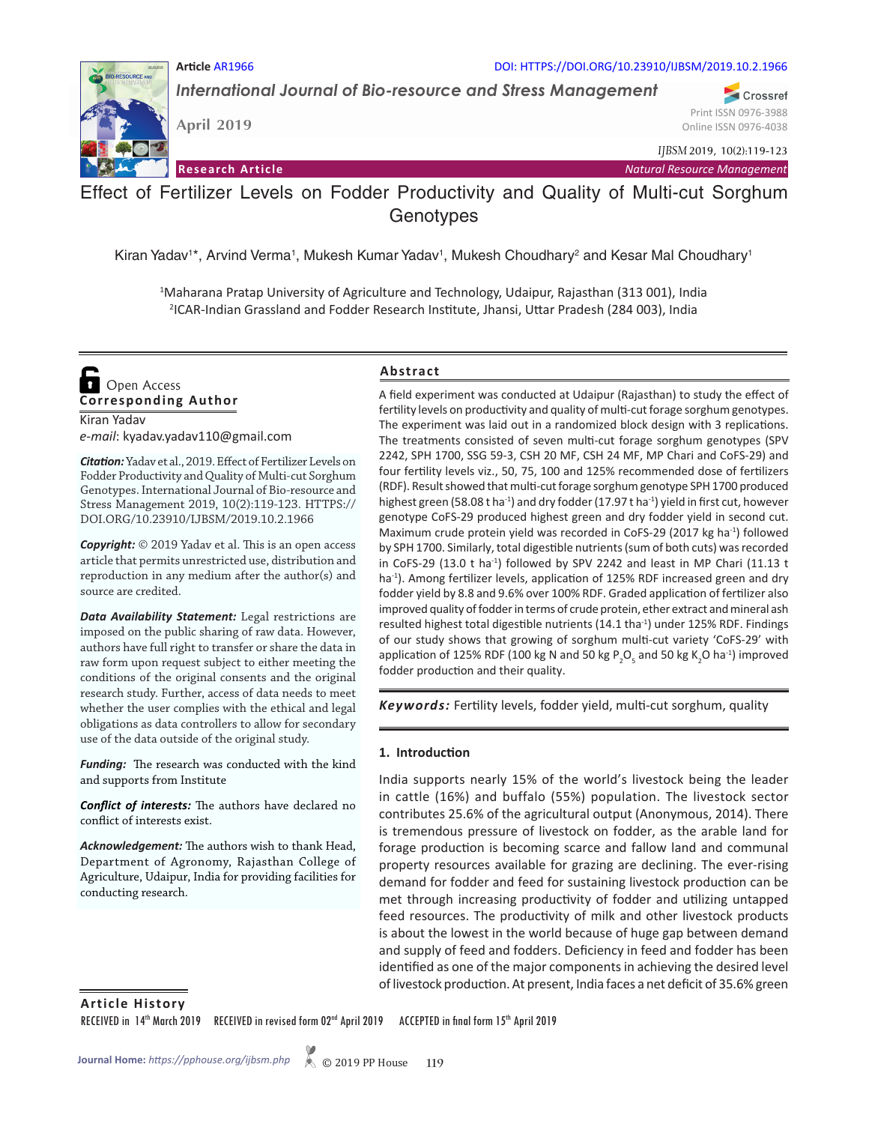#### **Article** AR1966 DOI: HTTPS://DOI.ORG/10.23910/IJBSM/2019.10.2.1966

*International Journal of Bio-resource and Stress Management*

**April 2019**

*IJBSM* 2019, 10(2):119-123

Print ISSN 0976-3988 Online ISSN 0976-4038

Crossref

**Research Article** *Natural Resource Management*

# Effect of Fertilizer Levels on Fodder Productivity and Quality of Multi-cut Sorghum **Genotypes**

Kiran Yadav<sup>1\*</sup>, Arvind Verma<sup>1</sup>, Mukesh Kumar Yadav<sup>1</sup>, Mukesh Choudhary<sup>2</sup> and Kesar Mal Choudhary<sup>1</sup>

1 Maharana Pratap University of Agriculture and Technology, Udaipur, Rajasthan (313 001), India 2 ICAR-Indian Grassland and Fodder Research Institute, Jhansi, Uttar Pradesh (284 003), India

**Corresponding Author**  Open Access

Kiran Yadav *e-mail*: kyadav.yadav110@gmail.com

*Citation:* Yadav et al., 2019. Effect of Fertilizer Levels on Fodder Productivity and Quality of Multi-cut Sorghum Genotypes. International Journal of Bio-resource and Stress Management 2019, 10(2):119-123. HTTPS:// DOI.ORG/10.23910/IJBSM/2019.10.2.1966

*Copyright:* © 2019 Yadav et al. This is an open access article that permits unrestricted use, distribution and reproduction in any medium after the author(s) and source are credited.

*Data Availability Statement:* Legal restrictions are imposed on the public sharing of raw data. However, authors have full right to transfer or share the data in raw form upon request subject to either meeting the conditions of the original consents and the original research study. Further, access of data needs to meet whether the user complies with the ethical and legal obligations as data controllers to allow for secondary use of the data outside of the original study.

*Funding:* The research was conducted with the kind and supports from Institute

*Conflict of interests:* The authors have declared no conflict of interests exist.

*Acknowledgement:* The authors wish to thank Head, Department of Agronomy, Rajasthan College of Agriculture, Udaipur, India for providing facilities for conducting research.

## **Abstract**

A field experiment was conducted at Udaipur (Rajasthan) to study the effect of fertility levels on productivity and quality of multi-cut forage sorghum genotypes. The experiment was laid out in a randomized block design with 3 replications. The treatments consisted of seven multi-cut forage sorghum genotypes (SPV 2242, SPH 1700, SSG 59-3, CSH 20 MF, CSH 24 MF, MP Chari and CoFS-29) and four fertility levels viz., 50, 75, 100 and 125% recommended dose of fertilizers (RDF). Result showed that multi-cut forage sorghum genotype SPH 1700 produced highest green (58.08 t ha<sup>-1</sup>) and dry fodder (17.97 t ha<sup>-1</sup>) yield in first cut, however genotype CoFS-29 produced highest green and dry fodder yield in second cut. Maximum crude protein yield was recorded in CoFS-29 (2017 kg ha<sup>-1</sup>) followed by SPH 1700. Similarly, total digestible nutrients (sum of both cuts) was recorded in CoFS-29 (13.0 t ha<sup>-1</sup>) followed by SPV 2242 and least in MP Chari (11.13 t ha<sup>-1</sup>). Among fertilizer levels, application of 125% RDF increased green and dry fodder yield by 8.8 and 9.6% over 100% RDF. Graded application of fertilizer also improved quality of fodder in terms of crude protein, ether extract and mineral ash resulted highest total digestible nutrients (14.1 tha<sup>-1</sup>) under 125% RDF. Findings of our study shows that growing of sorghum multi-cut variety 'CoFS-29' with application of 125% RDF (100 kg N and 50 kg P<sub>2</sub>O<sub>5</sub> and 50 kg K<sub>2</sub>O ha<sup>-1</sup>) improved fodder production and their quality.

*Keywords:* Fertility levels, fodder yield, multi-cut sorghum, quality

#### **1. Introduction**

India supports nearly 15% of the world's livestock being the leader in cattle (16%) and buffalo (55%) population. The livestock sector contributes 25.6% of the agricultural output (Anonymous, 2014). There is tremendous pressure of livestock on fodder, as the arable land for forage production is becoming scarce and fallow land and communal property resources available for grazing are declining. The ever-rising demand for fodder and feed for sustaining livestock production can be met through increasing productivity of fodder and utilizing untapped feed resources. The productivity of milk and other livestock products is about the lowest in the world because of huge gap between demand and supply of feed and fodders. Deficiency in feed and fodder has been identified as one of the major components in achieving the desired level of livestock production. At present, India faces a net deficit of 35.6% green

**Article History**

RECEIVED in 14<sup>th</sup> March 2019 RECEIVED in revised form 02<sup>nd</sup> April 2019 ACCEPTED in final form 15<sup>th</sup> April 2019

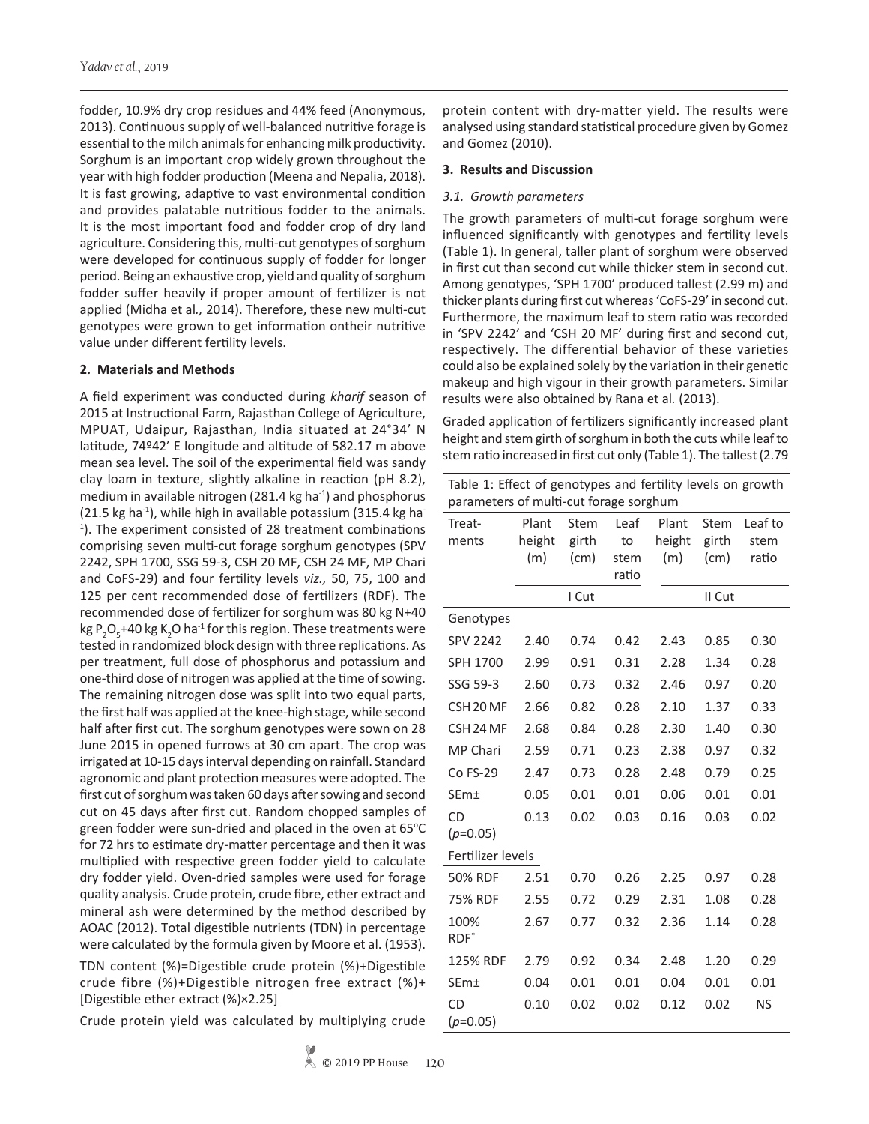fodder, 10.9% dry crop residues and 44% feed (Anonymous, 2013). Continuous supply of well-balanced nutritive forage is essential to the milch animals for enhancing milk productivity. Sorghum is an important crop widely grown throughout the year with high fodder production (Meena and Nepalia, 2018). It is fast growing, adaptive to vast environmental condition and provides palatable nutritious fodder to the animals. It is the most important food and fodder crop of dry land agriculture. Considering this, multi-cut genotypes of sorghum were developed for continuous supply of fodder for longer period. Being an exhaustive crop, yield and quality of sorghum fodder suffer heavily if proper amount of fertilizer is not applied (Midha et al*.,* 2014). Therefore, these new multi-cut genotypes were grown to get information ontheir nutritive value under different fertility levels.

#### **2. Materials and Methods**

A field experiment was conducted during *kharif* season of 2015 at Instructional Farm, Rajasthan College of Agriculture, MPUAT, Udaipur, Rajasthan, India situated at 24°34' N latitude, 74º42' E longitude and altitude of 582.17 m above mean sea level. The soil of the experimental field was sandy clay loam in texture, slightly alkaline in reaction (pH 8.2), medium in available nitrogen (281.4 kg ha $^{-1}$ ) and phosphorus  $(21.5 \text{ kg ha}^{-1})$ , while high in available potassium  $(315.4 \text{ kg ha}^{-1})$ <sup>1</sup>). The experiment consisted of 28 treatment combinations comprising seven multi-cut forage sorghum genotypes (SPV 2242, SPH 1700, SSG 59-3, CSH 20 MF, CSH 24 MF, MP Chari and CoFS-29) and four fertility levels *viz.,* 50, 75, 100 and 125 per cent recommended dose of fertilizers (RDF). The recommended dose of fertilizer for sorghum was 80 kg N+40 kg P<sub>2</sub>O<sub>5</sub>+40 kg K<sub>2</sub>O ha<sup>-1</sup> for this region. These treatments were tested in randomized block design with three replications. As per treatment, full dose of phosphorus and potassium and one-third dose of nitrogen was applied at the time of sowing. The remaining nitrogen dose was split into two equal parts, the first half was applied at the knee-high stage, while second half after first cut. The sorghum genotypes were sown on 28 June 2015 in opened furrows at 30 cm apart. The crop was irrigated at 10-15 days interval depending on rainfall. Standard agronomic and plant protection measures were adopted. The first cut of sorghum was taken 60 days after sowing and second cut on 45 days after first cut. Random chopped samples of green fodder were sun-dried and placed in the oven at 65°C for 72 hrs to estimate dry-matter percentage and then it was multiplied with respective green fodder yield to calculate dry fodder yield. Oven-dried samples were used for forage quality analysis. Crude protein, crude fibre, ether extract and mineral ash were determined by the method described by AOAC (2012). Total digestible nutrients (TDN) in percentage were calculated by the formula given by Moore et al. (1953).

TDN content (%)=Digestible crude protein (%)+Digestible crude fibre (%)+Digestible nitrogen free extract (%)+ [Digestible ether extract (%)×2.25]

Crude protein yield was calculated by multiplying crude

protein content with dry-matter yield. The results were analysed using standard statistical procedure given by Gomez and Gomez (2010).

### **3. Results and Discussion**

### *3.1. Growth parameters*

The growth parameters of multi-cut forage sorghum were influenced significantly with genotypes and fertility levels (Table 1). In general, taller plant of sorghum were observed in first cut than second cut while thicker stem in second cut. Among genotypes, 'SPH 1700' produced tallest (2.99 m) and thicker plants during first cut whereas 'CoFS-29' in second cut. Furthermore, the maximum leaf to stem ratio was recorded in 'SPV 2242' and 'CSH 20 MF' during first and second cut, respectively. The differential behavior of these varieties could also be explained solely by the variation in their genetic makeup and high vigour in their growth parameters. Similar results were also obtained by Rana et al*.* (2013).

Graded application of fertilizers significantly increased plant height and stem girth of sorghum in both the cuts while leaf to stem ratio increased in first cut only (Table 1). The tallest (2.79

| Table 1: Effect of genotypes and fertility levels on growth |
|-------------------------------------------------------------|
| parameters of multi-cut forage sorghum                      |

| Treat-<br>ments      | Plant<br>height<br>(m) | Stem<br>girth<br>(cm) | Leaf<br>to<br>stem | Plant<br>height<br>(m) | <b>Stem</b><br>girth<br>(cm) | Leaf to<br>stem<br>ratio |
|----------------------|------------------------|-----------------------|--------------------|------------------------|------------------------------|--------------------------|
|                      |                        |                       | ratio              |                        |                              |                          |
|                      |                        | I Cut                 |                    |                        | II Cut                       |                          |
| Genotypes            |                        |                       |                    |                        |                              |                          |
| <b>SPV 2242</b>      | 2.40                   | 0.74                  | 0.42               | 2.43                   | 0.85                         | 0.30                     |
| SPH 1700             | 2.99                   | 0.91                  | 0.31               | 2.28                   | 1.34                         | 0.28                     |
| SSG 59-3             | 2.60                   | 0.73                  | 0.32               | 2.46                   | 0.97                         | 0.20                     |
| CSH <sub>20</sub> MF | 2.66                   | 0.82                  | 0.28               | 2.10                   | 1.37                         | 0.33                     |
| CSH <sub>24</sub> MF | 2.68                   | 0.84                  | 0.28               | 2.30                   | 1.40                         | 0.30                     |
| MP Chari             | 2.59                   | 0.71                  | 0.23               | 2.38                   | 0.97                         | 0.32                     |
| Co FS-29             | 2.47                   | 0.73                  | 0.28               | 2.48                   | 0.79                         | 0.25                     |
| SEm±                 | 0.05                   | 0.01                  | 0.01               | 0.06                   | 0.01                         | 0.01                     |
| <b>CD</b>            | 0.13                   | 0.02                  | 0.03               | 0.16                   | 0.03                         | 0.02                     |
| $(p=0.05)$           |                        |                       |                    |                        |                              |                          |
| Fertilizer levels    |                        |                       |                    |                        |                              |                          |
| 50% RDF              | 2.51                   | 0.70                  | 0.26               | 2.25                   | 0.97                         | 0.28                     |
| 75% RDF              | 2.55                   | 0.72                  | 0.29               | 2.31                   | 1.08                         | 0.28                     |
| 100%<br>$RDF^*$      | 2.67                   | 0.77                  | 0.32               | 2.36                   | 1.14                         | 0.28                     |
| 125% RDF             | 2.79                   | 0.92                  | 0.34               | 2.48                   | 1.20                         | 0.29                     |
| SEm±                 | 0.04                   | 0.01                  | 0.01               | 0.04                   | 0.01                         | 0.01                     |
| CD<br>$(p=0.05)$     | 0.10                   | 0.02                  | 0.02               | 0.12                   | 0.02                         | <b>NS</b>                |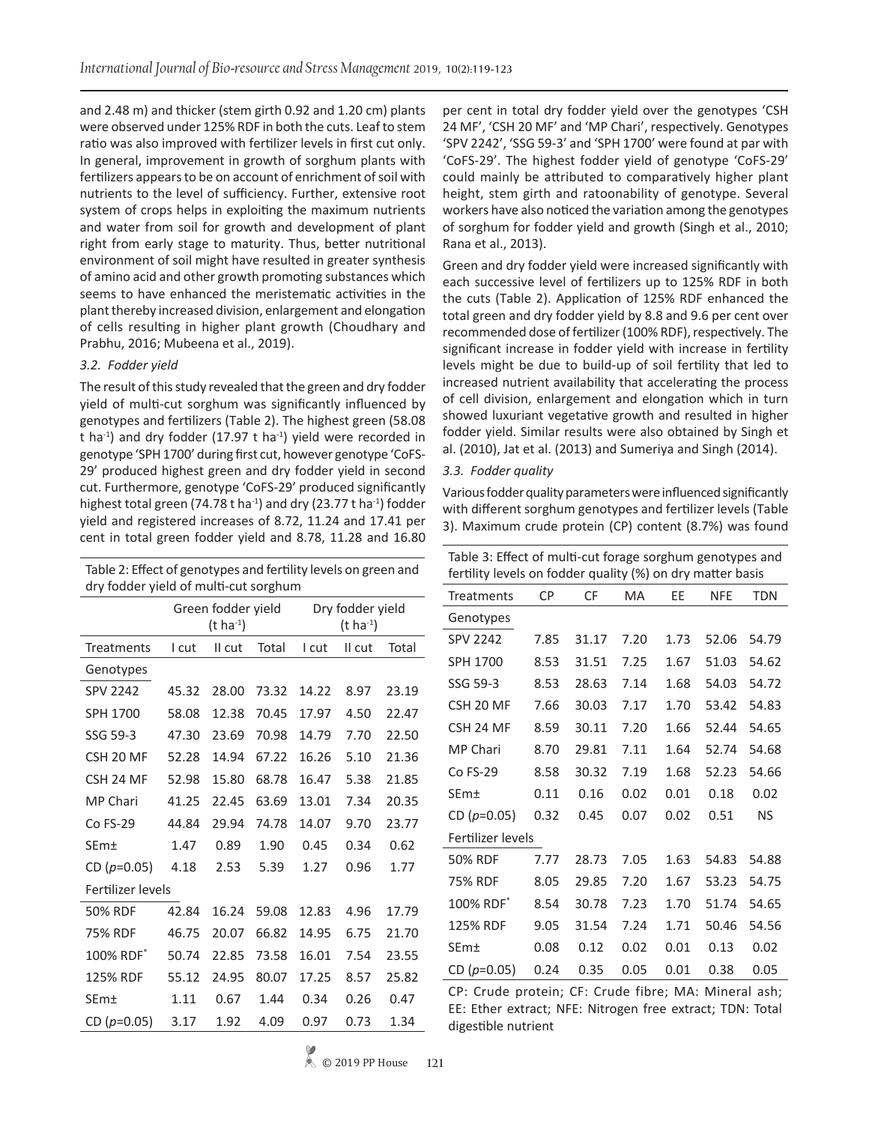and 2.48 m) and thicker (stem girth 0.92 and 1.20 cm) plants were observed under 125% RDF in both the cuts. Leaf to stem ratio was also improved with fertilizer levels in first cut only. In general, improvement in growth of sorghum plants with fertilizers appears to be on account of enrichment of soil with nutrients to the level of sufficiency. Further, extensive root system of crops helps in exploiting the maximum nutrients and water from soil for growth and development of plant right from early stage to maturity. Thus, better nutritional environment of soil might have resulted in greater synthesis of amino acid and other growth promoting substances which seems to have enhanced the meristematic activities in the plant thereby increased division, enlargement and elongation of cells resulting in higher plant growth (Choudhary and Prabhu, 2016; Mubeena et al., 2019).

#### *3.2. Fodder yield*

The result of this study revealed that the green and dry fodder yield of multi-cut sorghum was significantly influenced by genotypes and fertilizers (Table 2). The highest green (58.08 t ha<sup>-1</sup>) and dry fodder (17.97 t ha<sup>-1</sup>) yield were recorded in genotype 'SPH 1700' during first cut, however genotype 'CoFS-29' produced highest green and dry fodder yield in second cut. Furthermore, genotype 'CoFS-29' produced significantly highest total green (74.78 t ha<sup>-1</sup>) and dry (23.77 t ha<sup>-1</sup>) fodder yield and registered increases of 8.72, 11.24 and 17.41 per cent in total green fodder yield and 8.78, 11.28 and 16.80

Table 2: Effect of genotypes and fertility levels on green and dry fodder yield of multi-cut sorghum

|                       | Green fodder yield |                  |       | Dry fodder yield |        |       |
|-----------------------|--------------------|------------------|-------|------------------|--------|-------|
|                       |                    | $(t \; ha^{-1})$ |       | $(t \, ha^{-1})$ |        |       |
| <b>Treatments</b>     | I cut              | II cut           | Total | I cut            | II cut | Total |
| Genotypes             |                    |                  |       |                  |        |       |
| <b>SPV 2242</b>       | 45.32              | 28.00            | 73.32 | 14.22            | 8.97   | 23.19 |
| SPH 1700              | 58.08              | 12.38            | 70.45 | 17.97            | 4.50   | 22.47 |
| SSG 59-3              | 47.30              | 23.69            | 70.98 | 14.79            | 7.70   | 22.50 |
| CSH 20 MF             | 52.28              | 14.94            | 67.22 | 16.26            | 5.10   | 21.36 |
| CSH 24 MF             | 52.98              | 15.80            | 68.78 | 16.47            | 5.38   | 21.85 |
| <b>MP Chari</b>       | 41.25              | 22.45            | 63.69 | 13.01            | 7.34   | 20.35 |
| $Co FS-29$            | 44.84              | 29.94            | 74.78 | 14.07            | 9.70   | 23.77 |
| SEm±                  | 1.47               | 0.89             | 1.90  | 0.45             | 0.34   | 0.62  |
| CD $(p=0.05)$         | 4.18               | 2.53             | 5.39  | 1.27             | 0.96   | 1.77  |
| Fertilizer levels     |                    |                  |       |                  |        |       |
| 50% RDF               | 42.84              | 16.24            | 59.08 | 12.83            | 4.96   | 17.79 |
| <b>75% RDF</b>        | 46.75              | 20.07            | 66.82 | 14.95            | 6.75   | 21.70 |
| 100% RDF <sup>*</sup> | 50.74              | 22.85            | 73.58 | 16.01            | 7.54   | 23.55 |
| 125% RDF              | 55.12              | 24.95            | 80.07 | 17.25            | 8.57   | 25.82 |
| SEm±                  | 1.11               | 0.67             | 1.44  | 0.34             | 0.26   | 0.47  |
| CD $(p=0.05)$         | 3.17               | 1.92             | 4.09  | 0.97             | 0.73   | 1.34  |

per cent in total dry fodder yield over the genotypes 'CSH 24 MF', 'CSH 20 MF' and 'MP Chari', respectively. Genotypes 'SPV 2242', 'SSG 59-3' and 'SPH 1700' were found at par with 'CoFS-29'. The highest fodder yield of genotype 'CoFS-29' could mainly be attributed to comparatively higher plant height, stem girth and ratoonability of genotype. Several workers have also noticed the variation among the genotypes of sorghum for fodder yield and growth (Singh et al., 2010; Rana et al., 2013).

Green and dry fodder yield were increased significantly with each successive level of fertilizers up to 125% RDF in both the cuts (Table 2). Application of 125% RDF enhanced the total green and dry fodder yield by 8.8 and 9.6 per cent over recommended dose of fertilizer (100% RDF), respectively. The significant increase in fodder yield with increase in fertility levels might be due to build-up of soil fertility that led to increased nutrient availability that accelerating the process of cell division, enlargement and elongation which in turn showed luxuriant vegetative growth and resulted in higher fodder yield. Similar results were also obtained by Singh et al. (2010), Jat et al. (2013) and Sumeriya and Singh (2014).

#### *3.3. Fodder quality*

Various fodder quality parameters were influenced significantly with different sorghum genotypes and fertilizer levels (Table 3). Maximum crude protein (CP) content (8.7%) was found

| Table 3: Effect of multi-cut forage sorghum genotypes and  |  |
|------------------------------------------------------------|--|
| fertility levels on fodder quality (%) on dry matter basis |  |

| Treatments            | СP   | CF    | <b>MA</b> | EE   | <b>NFE</b> | <b>TDN</b> |  |
|-----------------------|------|-------|-----------|------|------------|------------|--|
| Genotypes             |      |       |           |      |            |            |  |
| <b>SPV 2242</b>       | 7.85 | 31.17 | 7.20      | 1.73 | 52.06      | 54.79      |  |
| SPH 1700              | 8.53 | 31.51 | 7.25      | 1.67 | 51.03      | 54.62      |  |
| SSG 59-3              | 8.53 | 28.63 | 7.14      | 1.68 | 54.03      | 54.72      |  |
| CSH 20 MF             | 7.66 | 30.03 | 7.17      | 1.70 | 53.42      | 54.83      |  |
| CSH 24 MF             | 8.59 | 30.11 | 7.20      | 1.66 | 52.44      | 54.65      |  |
| <b>MP Chari</b>       | 8.70 | 29.81 | 7.11      | 1.64 | 52.74      | 54.68      |  |
| Co FS-29              | 8.58 | 30.32 | 7.19      | 1.68 | 52.23      | 54.66      |  |
| SEm±                  | 0.11 | 0.16  | 0.02      | 0.01 | 0.18       | 0.02       |  |
| CD ( $p=0.05$ )       | 0.32 | 0.45  | 0.07      | 0.02 | 0.51       | <b>NS</b>  |  |
| Fertilizer levels     |      |       |           |      |            |            |  |
| 50% RDF               | 7.77 | 28.73 | 7.05      | 1.63 | 54.83      | 54.88      |  |
| <b>75% RDF</b>        | 8.05 | 29.85 | 7.20      | 1.67 | 53.23      | 54.75      |  |
| 100% RDF <sup>*</sup> | 8.54 | 30.78 | 7.23      | 1.70 | 51.74      | 54.65      |  |
| 125% RDF              | 9.05 | 31.54 | 7.24      | 1.71 | 50.46      | 54.56      |  |
| SEm±                  | 0.08 | 0.12  | 0.02      | 0.01 | 0.13       | 0.02       |  |
| CD $(p=0.05)$         | 0.24 | 0.35  | 0.05      | 0.01 | 0.38       | 0.05       |  |

CP: Crude protein; CF: Crude fibre; MA: Mineral ash; EE: Ether extract; NFE: Nitrogen free extract; TDN: Total digestible nutrient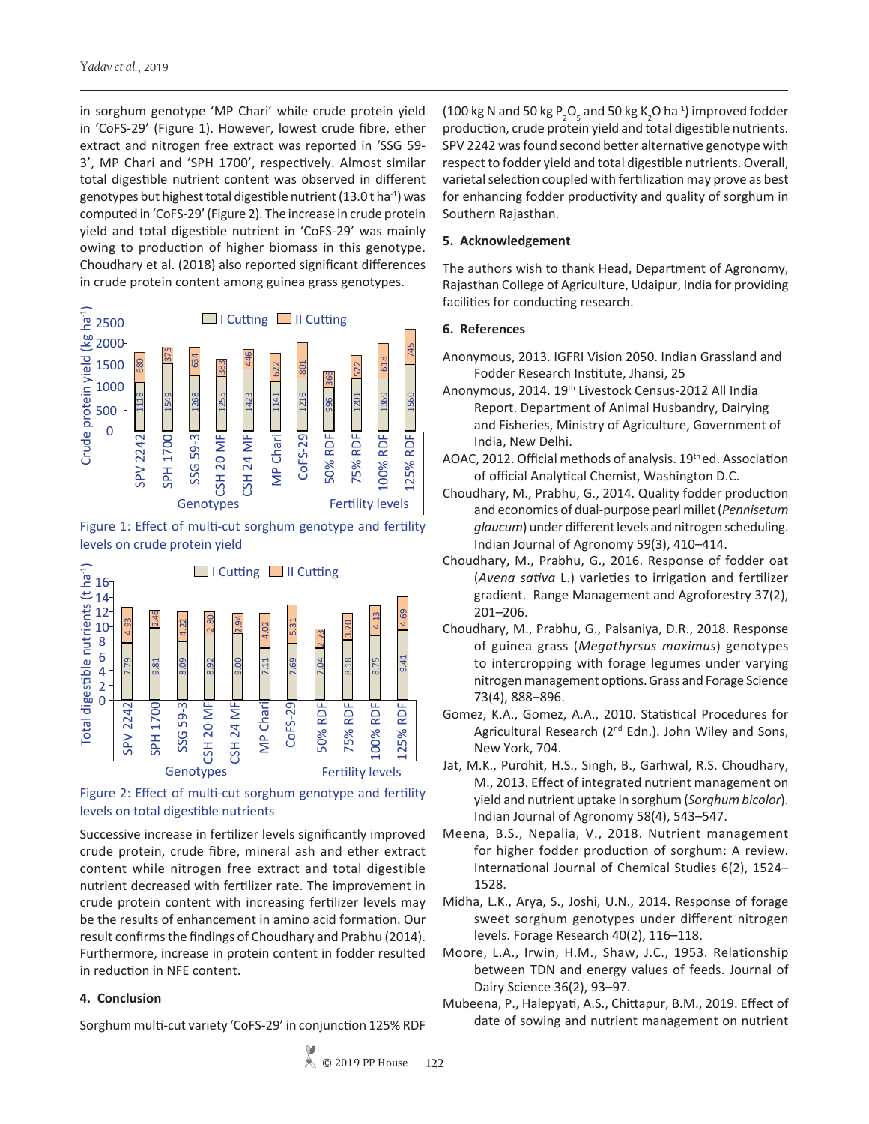in sorghum genotype 'MP Chari' while crude protein yield in 'CoFS-29' (Figure 1). However, lowest crude fibre, ether extract and nitrogen free extract was reported in 'SSG 59- 3', MP Chari and 'SPH 1700', respectively. Almost similar total digestible nutrient content was observed in different genotypes but highest total digestible nutrient  $(13.0 t \text{ ha}^{-1})$  was computed in 'CoFS-29' (Figure 2). The increase in crude protein yield and total digestible nutrient in 'CoFS-29' was mainly owing to production of higher biomass in this genotype. Choudhary et al. (2018) also reported significant differences in crude protein content among guinea grass genotypes.



Figure 1: Effect of multi-cut sorghum genotype and fertility levels on crude protein yield



Figure 2: Effect of multi-cut sorghum genotype and fertility levels on total digestible nutrients

Successive increase in fertilizer levels significantly improved crude protein, crude fibre, mineral ash and ether extract content while nitrogen free extract and total digestible nutrient decreased with fertilizer rate. The improvement in crude protein content with increasing fertilizer levels may be the results of enhancement in amino acid formation. Our result confirms the findings of Choudhary and Prabhu (2014). Furthermore, increase in protein content in fodder resulted in reduction in NFE content.

# **4. Conclusion**

Sorghum multi-cut variety 'CoFS-29' in conjunction 125% RDF

(100 kg N and 50 kg P<sub>2</sub>O<sub>5</sub> and 50 kg K<sub>2</sub>O ha<sup>-1</sup>) improved fodder production, crude protein yield and total digestible nutrients. SPV 2242 was found second better alternative genotype with respect to fodder yield and total digestible nutrients. Overall, varietal selection coupled with fertilization may prove as best for enhancing fodder productivity and quality of sorghum in Southern Rajasthan.

# **5. Acknowledgement**

The authors wish to thank Head, Department of Agronomy, Rajasthan College of Agriculture, Udaipur, India for providing facilities for conducting research.

## **6. References**

- Anonymous, 2013. IGFRI Vision 2050. Indian Grassland and Fodder Research Institute, Jhansi, 25
- Anonymous, 2014. 19<sup>th</sup> Livestock Census-2012 All India Report. Department of Animal Husbandry, Dairying and Fisheries, Ministry of Agriculture, Government of India, New Delhi.
- AOAC, 2012. Official methods of analysis. 19<sup>th</sup> ed. Association of official Analytical Chemist, Washington D.C.
- Choudhary, M., Prabhu, G., 2014. Quality fodder production and economics of dual-purpose pearl millet (*Pennisetum glaucum*) under different levels and nitrogen scheduling. Indian Journal of Agronomy 59(3), 410–414.
- Choudhary, M., Prabhu, G., 2016. Response of fodder oat (*Avena sativa* L.) varieties to irrigation and fertilizer gradient. Range Management and Agroforestry 37(2), 201–206.
- Choudhary, M., Prabhu, G., Palsaniya, D.R., 2018. Response of guinea grass (*Megathyrsus maximus*) genotypes to intercropping with forage legumes under varying nitrogen management options. Grass and Forage Science 73(4), 888–896.
- Gomez, K.A., Gomez, A.A., 2010. Statistical Procedures for Agricultural Research (2<sup>nd</sup> Edn.). John Wiley and Sons, New York, 704.
- Jat, M.K., Purohit, H.S., Singh, B., Garhwal, R.S. Choudhary, M., 2013. Effect of integrated nutrient management on yield and nutrient uptake in sorghum (*Sorghum bicolor*). Indian Journal of Agronomy 58(4), 543–547.
- Meena, B.S., Nepalia, V., 2018. Nutrient management for higher fodder production of sorghum: A review. International Journal of Chemical Studies 6(2), 1524– 1528.
- Midha, L.K., Arya, S., Joshi, U.N., 2014. Response of forage sweet sorghum genotypes under different nitrogen levels. Forage Research 40(2), 116–118.
- Moore, L.A., Irwin, H.M., Shaw, J.C., 1953. Relationship between TDN and energy values of feeds. Journal of Dairy Science 36(2), 93–97.
- Mubeena, P., Halepyati, A.S., Chittapur, B.M., 2019. Effect of date of sowing and nutrient management on nutrient